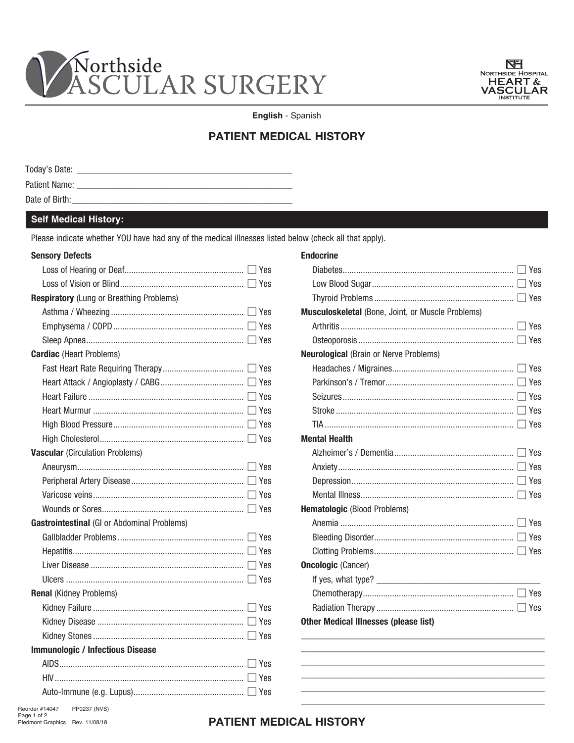



English - Spanish

# **PATIENT MEDICAL HISTORY**

| Today's Date:  |  |
|----------------|--|
| Patient Name:  |  |
| Date of Birth: |  |

### **Self Medical History:**

Please indicate whether YOU have had any of the medical illnesses listed below (check all that apply).

#### **Sensory Defects**

| <b>Respiratory</b> (Lung or Breathing Problems) |       |
|-------------------------------------------------|-------|
|                                                 |       |
|                                                 |       |
|                                                 |       |
| <b>Cardiac</b> (Heart Problems)                 |       |
|                                                 |       |
|                                                 |       |
|                                                 |       |
|                                                 | l Yes |
|                                                 |       |
|                                                 |       |
| <b>Vascular (Circulation Problems)</b>          |       |
|                                                 |       |
|                                                 |       |
|                                                 |       |
|                                                 |       |
| Gastrointestinal (GI or Abdominal Problems)     |       |
|                                                 |       |
|                                                 |       |
|                                                 |       |
|                                                 |       |
| <b>Renal (Kidney Problems)</b>                  |       |
|                                                 |       |
|                                                 |       |
|                                                 |       |
| <b>Immunologic / Infectious Disease</b>         |       |
|                                                 |       |
|                                                 |       |
|                                                 |       |
|                                                 |       |

| <b>Endocrine</b>                                         |  |  |  |
|----------------------------------------------------------|--|--|--|
|                                                          |  |  |  |
|                                                          |  |  |  |
|                                                          |  |  |  |
| <b>Musculoskeletal</b> (Bone, Joint, or Muscle Problems) |  |  |  |
|                                                          |  |  |  |
|                                                          |  |  |  |
| <b>Neurological (Brain or Nerve Problems)</b>            |  |  |  |
|                                                          |  |  |  |
|                                                          |  |  |  |
|                                                          |  |  |  |
|                                                          |  |  |  |
| ∣ Yes                                                    |  |  |  |
| <b>Mental Health</b>                                     |  |  |  |
|                                                          |  |  |  |
|                                                          |  |  |  |
|                                                          |  |  |  |
|                                                          |  |  |  |
| <b>Hematologic (Blood Problems)</b>                      |  |  |  |
|                                                          |  |  |  |
|                                                          |  |  |  |
|                                                          |  |  |  |
| <b>Oncologic (Cancer)</b>                                |  |  |  |
|                                                          |  |  |  |
|                                                          |  |  |  |
| l Yes                                                    |  |  |  |
| <b>Other Medical Illnesses (please list)</b>             |  |  |  |
|                                                          |  |  |  |
|                                                          |  |  |  |
|                                                          |  |  |  |
|                                                          |  |  |  |

Piedmont Graphics Rev. 11/08/18

## PATIENT MEDICAL HISTORY

Reorder #14047 PP0237 (NVS) Page 1 of 2